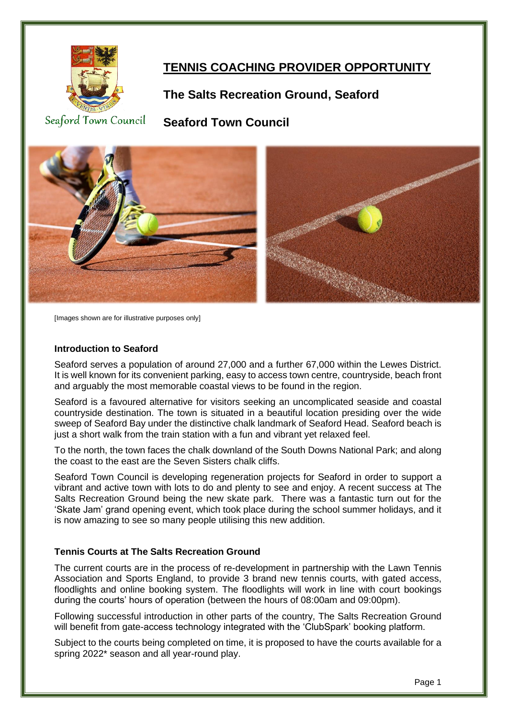

# **TENNIS COACHING PROVIDER OPPORTUNITY**

## **The Salts Recreation Ground, Seaford**

Seaford Town Council

**Seaford Town Council**



[Images shown are for illustrative purposes only]

#### **Introduction to Seaford**

Seaford serves a population of around 27,000 and a further 67,000 within the Lewes District. It is well known for its convenient parking, easy to access town centre, countryside, beach front and arguably the most memorable coastal views to be found in the region.

Seaford is a favoured alternative for visitors seeking an uncomplicated seaside and coastal countryside destination. The town is situated in a beautiful location presiding over the wide sweep of Seaford Bay under the distinctive chalk landmark of Seaford Head. Seaford beach is just a short walk from the train station with a fun and vibrant yet relaxed feel.

To the north, the town faces the chalk downland of the South Downs National Park; and along the coast to the east are the Seven Sisters chalk cliffs.

Seaford Town Council is developing regeneration projects for Seaford in order to support a vibrant and active town with lots to do and plenty to see and enjoy. A recent success at The Salts Recreation Ground being the new skate park. There was a fantastic turn out for the 'Skate Jam' grand opening event, which took place during the school summer holidays, and it is now amazing to see so many people utilising this new addition.

#### **Tennis Courts at The Salts Recreation Ground**

The current courts are in the process of re-development in partnership with the Lawn Tennis Association and Sports England, to provide 3 brand new tennis courts, with gated access, floodlights and online booking system. The floodlights will work in line with court bookings during the courts' hours of operation (between the hours of 08:00am and 09:00pm).

Following successful introduction in other parts of the country, The Salts Recreation Ground will benefit from gate-access technology integrated with the 'ClubSpark' booking platform.

Subject to the courts being completed on time, it is proposed to have the courts available for a spring 2022\* season and all year-round play.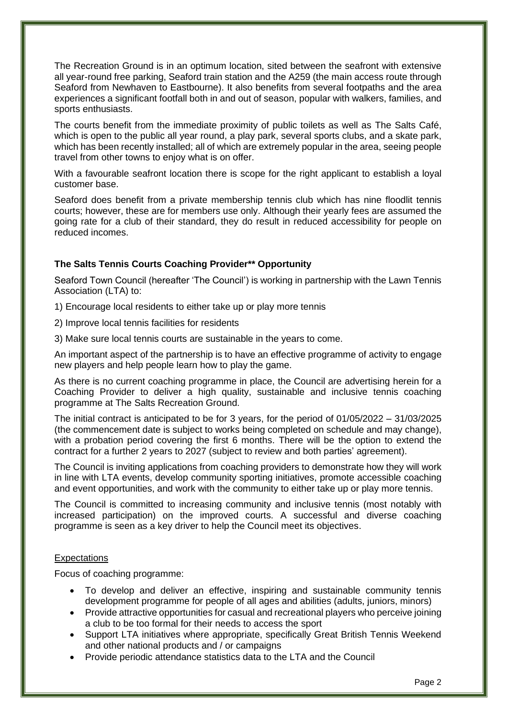The Recreation Ground is in an optimum location, sited between the seafront with extensive all year-round free parking, Seaford train station and the A259 (the main access route through Seaford from Newhaven to Eastbourne). It also benefits from several footpaths and the area experiences a significant footfall both in and out of season, popular with walkers, families, and sports enthusiasts.

The courts benefit from the immediate proximity of public toilets as well as The Salts Café, which is open to the public all year round, a play park, several sports clubs, and a skate park, which has been recently installed; all of which are extremely popular in the area, seeing people travel from other towns to enjoy what is on offer.

With a favourable seafront location there is scope for the right applicant to establish a loyal customer base.

Seaford does benefit from a private membership tennis club which has nine floodlit tennis courts; however, these are for members use only. Although their yearly fees are assumed the going rate for a club of their standard, they do result in reduced accessibility for people on reduced incomes.

#### **The Salts Tennis Courts Coaching Provider\*\* Opportunity**

Seaford Town Council (hereafter 'The Council') is working in partnership with the Lawn Tennis Association (LTA) to:

1) Encourage local residents to either take up or play more tennis

2) Improve local tennis facilities for residents

3) Make sure local tennis courts are sustainable in the years to come.

An important aspect of the partnership is to have an effective programme of activity to engage new players and help people learn how to play the game.

As there is no current coaching programme in place, the Council are advertising herein for a Coaching Provider to deliver a high quality, sustainable and inclusive tennis coaching programme at The Salts Recreation Ground.

The initial contract is anticipated to be for 3 years, for the period of 01/05/2022 – 31/03/2025 (the commencement date is subject to works being completed on schedule and may change), with a probation period covering the first 6 months. There will be the option to extend the contract for a further 2 years to 2027 (subject to review and both parties' agreement).

The Council is inviting applications from coaching providers to demonstrate how they will work in line with LTA events, develop community sporting initiatives, promote accessible coaching and event opportunities, and work with the community to either take up or play more tennis.

The Council is committed to increasing community and inclusive tennis (most notably with increased participation) on the improved courts. A successful and diverse coaching programme is seen as a key driver to help the Council meet its objectives.

#### **Expectations**

Focus of coaching programme:

- To develop and deliver an effective, inspiring and sustainable community tennis development programme for people of all ages and abilities (adults, juniors, minors)
- Provide attractive opportunities for casual and recreational players who perceive joining a club to be too formal for their needs to access the sport
- Support LTA initiatives where appropriate, specifically Great British Tennis Weekend and other national products and / or campaigns
- Provide periodic attendance statistics data to the LTA and the Council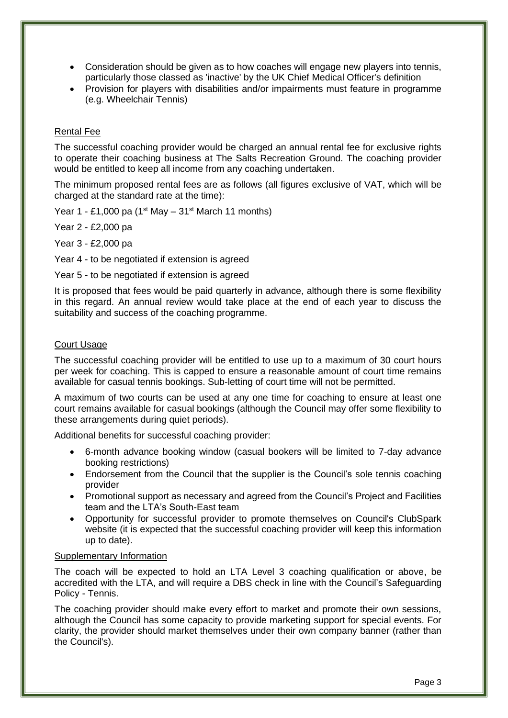- Consideration should be given as to how coaches will engage new players into tennis, particularly those classed as 'inactive' by the UK Chief Medical Officer's definition
- Provision for players with disabilities and/or impairments must feature in programme (e.g. Wheelchair Tennis)

#### Rental Fee

The successful coaching provider would be charged an annual rental fee for exclusive rights to operate their coaching business at The Salts Recreation Ground. The coaching provider would be entitled to keep all income from any coaching undertaken.

The minimum proposed rental fees are as follows (all figures exclusive of VAT, which will be charged at the standard rate at the time):

Year 1 - £1,000 pa  $(1<sup>st</sup>$  May – 31<sup>st</sup> March 11 months)

Year 2 - £2,000 pa

Year 3 - £2,000 pa

Year 4 - to be negotiated if extension is agreed

Year 5 - to be negotiated if extension is agreed

It is proposed that fees would be paid quarterly in advance, although there is some flexibility in this regard. An annual review would take place at the end of each year to discuss the suitability and success of the coaching programme.

#### Court Usage

The successful coaching provider will be entitled to use up to a maximum of 30 court hours per week for coaching. This is capped to ensure a reasonable amount of court time remains available for casual tennis bookings. Sub-letting of court time will not be permitted.

A maximum of two courts can be used at any one time for coaching to ensure at least one court remains available for casual bookings (although the Council may offer some flexibility to these arrangements during quiet periods).

Additional benefits for successful coaching provider:

- 6-month advance booking window (casual bookers will be limited to 7-day advance booking restrictions)
- Endorsement from the Council that the supplier is the Council's sole tennis coaching provider
- Promotional support as necessary and agreed from the Council's Project and Facilities team and the LTA's South-East team
- Opportunity for successful provider to promote themselves on Council's ClubSpark website (it is expected that the successful coaching provider will keep this information up to date).

#### Supplementary Information

The coach will be expected to hold an LTA Level 3 coaching qualification or above, be accredited with the LTA, and will require a DBS check in line with the Council's Safeguarding Policy - Tennis.

The coaching provider should make every effort to market and promote their own sessions, although the Council has some capacity to provide marketing support for special events. For clarity, the provider should market themselves under their own company banner (rather than the Council's).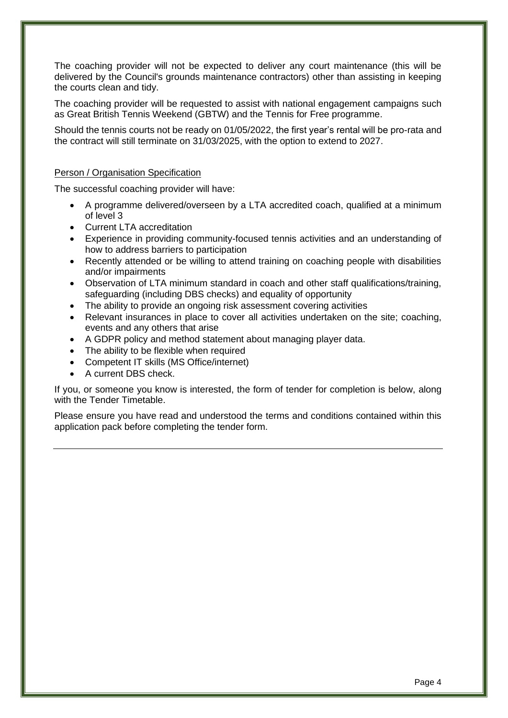The coaching provider will not be expected to deliver any court maintenance (this will be delivered by the Council's grounds maintenance contractors) other than assisting in keeping the courts clean and tidy.

The coaching provider will be requested to assist with national engagement campaigns such as Great British Tennis Weekend (GBTW) and the Tennis for Free programme.

Should the tennis courts not be ready on 01/05/2022, the first year's rental will be pro-rata and the contract will still terminate on 31/03/2025, with the option to extend to 2027.

#### Person / Organisation Specification

The successful coaching provider will have:

- A programme delivered/overseen by a LTA accredited coach, qualified at a minimum of level 3
- Current LTA accreditation
- Experience in providing community-focused tennis activities and an understanding of how to address barriers to participation
- Recently attended or be willing to attend training on coaching people with disabilities and/or impairments
- Observation of LTA minimum standard in coach and other staff qualifications/training, safeguarding (including DBS checks) and equality of opportunity
- The ability to provide an ongoing risk assessment covering activities
- Relevant insurances in place to cover all activities undertaken on the site; coaching, events and any others that arise
- A GDPR policy and method statement about managing player data.
- The ability to be flexible when required
- Competent IT skills (MS Office/internet)
- A current DBS check.

If you, or someone you know is interested, the form of tender for completion is below, along with the Tender Timetable.

Please ensure you have read and understood the terms and conditions contained within this application pack before completing the tender form.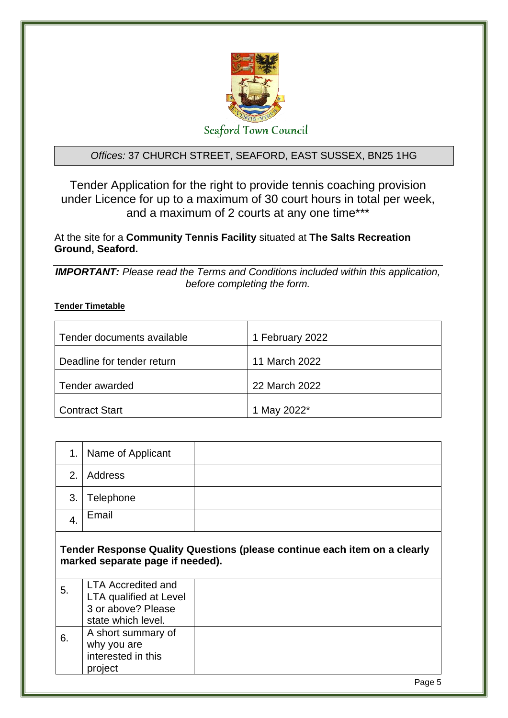

### *Offices:* 37 CHURCH STREET, SEAFORD, EAST SUSSEX, BN25 1HG

Tender Application for the right to provide tennis coaching provision under Licence for up to a maximum of 30 court hours in total per week, and a maximum of 2 courts at any one time\*\*\*

At the site for a **Community Tennis Facility** situated at **The Salts Recreation Ground, Seaford.** 

*IMPORTANT: Please read the Terms and Conditions included within this application, before completing the form.*

### **Tender Timetable**

| Tender documents available | 1 February 2022 |
|----------------------------|-----------------|
| Deadline for tender return | 11 March 2022   |
| Tender awarded             | 22 March 2022   |
| <b>Contract Start</b>      | 1 May 2022*     |

| 1.               | Name of Applicant                                                                                      |                                                                           |
|------------------|--------------------------------------------------------------------------------------------------------|---------------------------------------------------------------------------|
| 2.               | Address                                                                                                |                                                                           |
| 3.               | Telephone                                                                                              |                                                                           |
| $\overline{4}$ . | Email                                                                                                  |                                                                           |
|                  | marked separate page if needed).                                                                       | Tender Response Quality Questions (please continue each item on a clearly |
| 5.               | <b>LTA Accredited and</b><br><b>LTA qualified at Level</b><br>3 or above? Please<br>state which level. |                                                                           |
| 6.               | A short summary of<br>why you are<br>interested in this<br>project                                     |                                                                           |
|                  |                                                                                                        | $D \cap \neg \neg \neg$                                                   |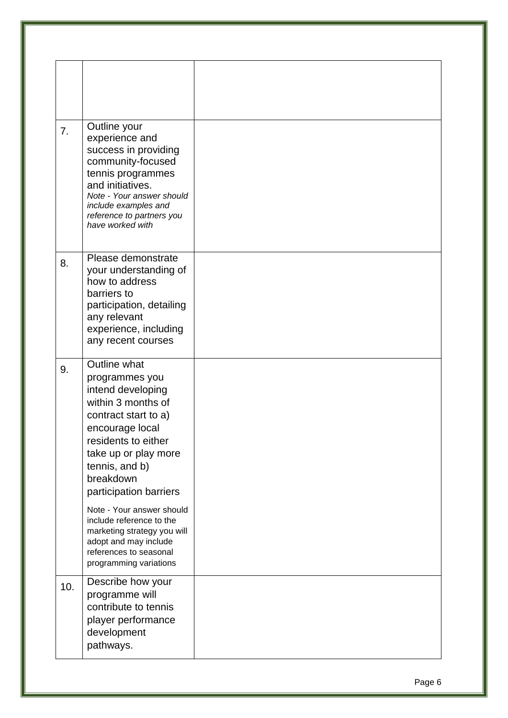| 7.  | Outline your<br>experience and<br>success in providing<br>community-focused<br>tennis programmes<br>and initiatives.<br>Note - Your answer should<br>include examples and<br>reference to partners you<br>have worked with   |  |
|-----|------------------------------------------------------------------------------------------------------------------------------------------------------------------------------------------------------------------------------|--|
| 8.  | Please demonstrate<br>your understanding of<br>how to address<br>barriers to<br>participation, detailing<br>any relevant<br>experience, including<br>any recent courses                                                      |  |
| 9.  | Outline what<br>programmes you<br>intend developing<br>within 3 months of<br>contract start to a)<br>encourage local<br>residents to either<br>take up or play more<br>tennis, and b)<br>breakdown<br>participation barriers |  |
|     | Note - Your answer should<br>include reference to the<br>marketing strategy you will<br>adopt and may include<br>references to seasonal<br>programming variations                                                            |  |
| 10. | Describe how your<br>programme will<br>contribute to tennis<br>player performance<br>development<br>pathways.                                                                                                                |  |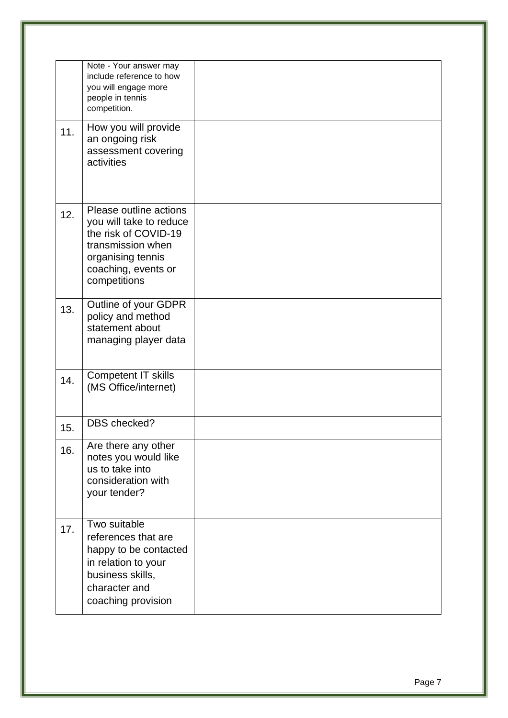|     | Note - Your answer may<br>include reference to how<br>you will engage more<br>people in tennis<br>competition.                                             |  |
|-----|------------------------------------------------------------------------------------------------------------------------------------------------------------|--|
| 11. | How you will provide<br>an ongoing risk<br>assessment covering<br>activities                                                                               |  |
| 12. | Please outline actions<br>you will take to reduce<br>the risk of COVID-19<br>transmission when<br>organising tennis<br>coaching, events or<br>competitions |  |
| 13. | Outline of your GDPR<br>policy and method<br>statement about<br>managing player data                                                                       |  |
| 14. | <b>Competent IT skills</b><br>(MS Office/internet)                                                                                                         |  |
| 15. | DBS checked?                                                                                                                                               |  |
| 16. | Are there any other<br>notes you would like<br>us to take into<br>consideration with<br>your tender?                                                       |  |
| 17. | Two suitable<br>references that are<br>happy to be contacted<br>in relation to your<br>business skills,<br>character and<br>coaching provision             |  |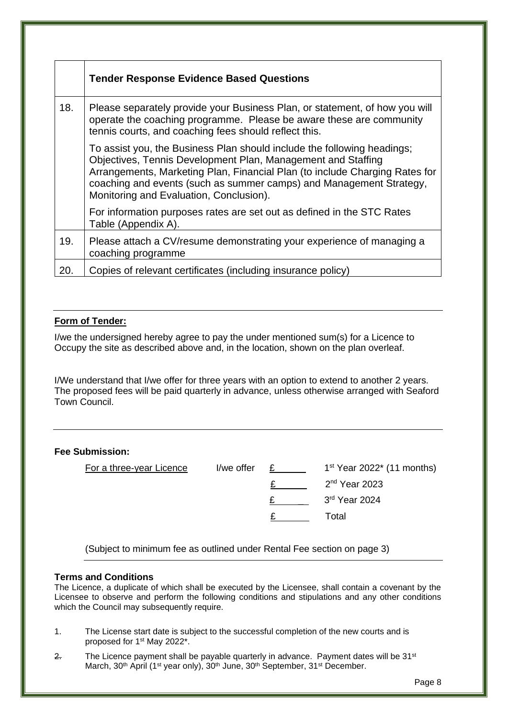|     | <b>Tender Response Evidence Based Questions</b>                                                                                                                                                                                                                                                                                          |
|-----|------------------------------------------------------------------------------------------------------------------------------------------------------------------------------------------------------------------------------------------------------------------------------------------------------------------------------------------|
| 18. | Please separately provide your Business Plan, or statement, of how you will<br>operate the coaching programme. Please be aware these are community<br>tennis courts, and coaching fees should reflect this.                                                                                                                              |
|     | To assist you, the Business Plan should include the following headings;<br>Objectives, Tennis Development Plan, Management and Staffing<br>Arrangements, Marketing Plan, Financial Plan (to include Charging Rates for<br>coaching and events (such as summer camps) and Management Strategy,<br>Monitoring and Evaluation, Conclusion). |
|     | For information purposes rates are set out as defined in the STC Rates<br>Table (Appendix A).                                                                                                                                                                                                                                            |
| 19. | Please attach a CV/resume demonstrating your experience of managing a<br>coaching programme                                                                                                                                                                                                                                              |
| 20. | Copies of relevant certificates (including insurance policy)                                                                                                                                                                                                                                                                             |

#### **Form of Tender:**

I/we the undersigned hereby agree to pay the under mentioned sum(s) for a Licence to Occupy the site as described above and, in the location, shown on the plan overleaf.

I/We understand that I/we offer for three years with an option to extend to another 2 years. The proposed fees will be paid quarterly in advance, unless otherwise arranged with Seaford Town Council.

#### **Fee Submission:**

| For a three-year Licence | I/we offer | $1st$ Year 2022 <sup><math>*</math></sup> (11 months) |
|--------------------------|------------|-------------------------------------------------------|
|                          |            | $2nd$ Year 2023                                       |
|                          |            | 3rd Year 2024                                         |
|                          |            | Total                                                 |
|                          |            |                                                       |

(Subject to minimum fee as outlined under Rental Fee section on page 3)

#### **Terms and Conditions**

The Licence, a duplicate of which shall be executed by the Licensee, shall contain a covenant by the Licensee to observe and perform the following conditions and stipulations and any other conditions which the Council may subsequently require.

- 1. The License start date is subject to the successful completion of the new courts and is proposed for 1<sup>st</sup> May 2022<sup>\*</sup>.
- $2.$  The Licence payment shall be payable quarterly in advance. Payment dates will be  $31<sup>st</sup>$ March, 30<sup>th</sup> April (1<sup>st</sup> year only), 30<sup>th</sup> June, 30<sup>th</sup> September, 31<sup>st</sup> December.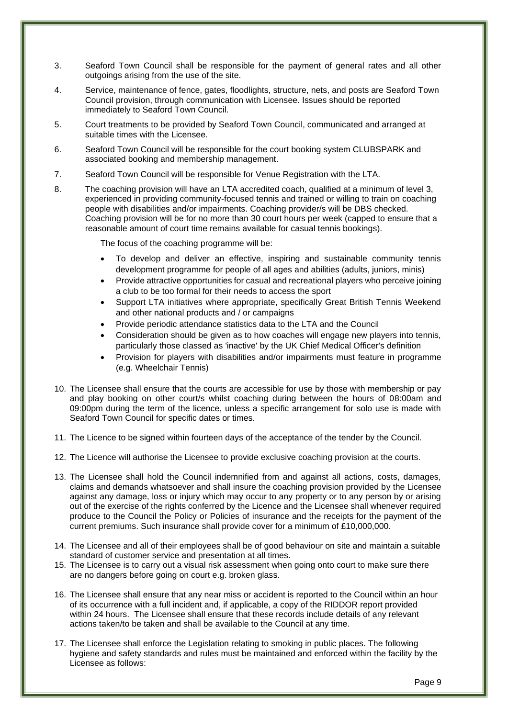- 3. Seaford Town Council shall be responsible for the payment of general rates and all other outgoings arising from the use of the site.
- 4. Service, maintenance of fence, gates, floodlights, structure, nets, and posts are Seaford Town Council provision, through communication with Licensee. Issues should be reported immediately to Seaford Town Council.
- 5. Court treatments to be provided by Seaford Town Council, communicated and arranged at suitable times with the Licensee.
- 6. Seaford Town Council will be responsible for the court booking system CLUBSPARK and associated booking and membership management.
- 7. Seaford Town Council will be responsible for Venue Registration with the LTA.
- 8. The coaching provision will have an LTA accredited coach, qualified at a minimum of level 3, experienced in providing community-focused tennis and trained or willing to train on coaching people with disabilities and/or impairments. Coaching provider/s will be DBS checked. Coaching provision will be for no more than 30 court hours per week (capped to ensure that a reasonable amount of court time remains available for casual tennis bookings).

The focus of the coaching programme will be:

- To develop and deliver an effective, inspiring and sustainable community tennis development programme for people of all ages and abilities (adults, juniors, minis)
- Provide attractive opportunities for casual and recreational players who perceive joining a club to be too formal for their needs to access the sport
- Support LTA initiatives where appropriate, specifically Great British Tennis Weekend and other national products and / or campaigns
- Provide periodic attendance statistics data to the LTA and the Council
- Consideration should be given as to how coaches will engage new players into tennis, particularly those classed as 'inactive' by the UK Chief Medical Officer's definition
- Provision for players with disabilities and/or impairments must feature in programme (e.g. Wheelchair Tennis)
- 10. The Licensee shall ensure that the courts are accessible for use by those with membership or pay and play booking on other court/s whilst coaching during between the hours of 08:00am and 09:00pm during the term of the licence, unless a specific arrangement for solo use is made with Seaford Town Council for specific dates or times.
- 11. The Licence to be signed within fourteen days of the acceptance of the tender by the Council.
- 12. The Licence will authorise the Licensee to provide exclusive coaching provision at the courts.
- 13. The Licensee shall hold the Council indemnified from and against all actions, costs, damages, claims and demands whatsoever and shall insure the coaching provision provided by the Licensee against any damage, loss or injury which may occur to any property or to any person by or arising out of the exercise of the rights conferred by the Licence and the Licensee shall whenever required produce to the Council the Policy or Policies of insurance and the receipts for the payment of the current premiums. Such insurance shall provide cover for a minimum of £10,000,000.
- 14. The Licensee and all of their employees shall be of good behaviour on site and maintain a suitable standard of customer service and presentation at all times.
- 15. The Licensee is to carry out a visual risk assessment when going onto court to make sure there are no dangers before going on court e.g. broken glass.
- 16. The Licensee shall ensure that any near miss or accident is reported to the Council within an hour of its occurrence with a full incident and, if applicable, a copy of the RIDDOR report provided within 24 hours. The Licensee shall ensure that these records include details of any relevant actions taken/to be taken and shall be available to the Council at any time.
- 17. The Licensee shall enforce the Legislation relating to smoking in public places. The following hygiene and safety standards and rules must be maintained and enforced within the facility by the Licensee as follows: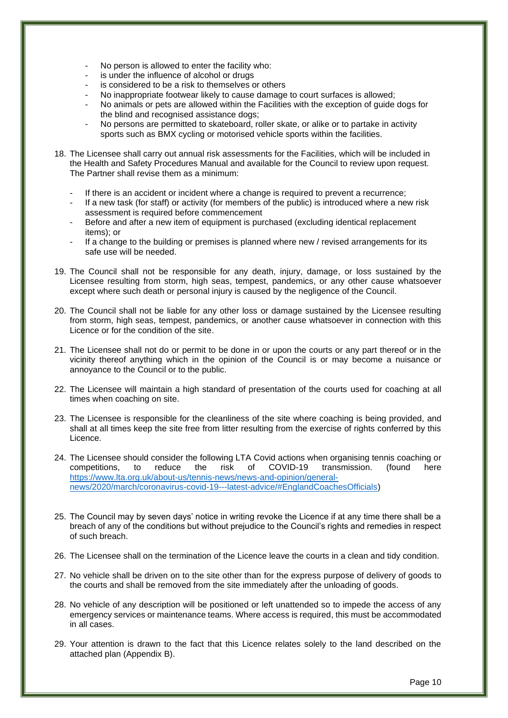- No person is allowed to enter the facility who:
- is under the influence of alcohol or drugs
- is considered to be a risk to themselves or others
- No inappropriate footwear likely to cause damage to court surfaces is allowed;
- No animals or pets are allowed within the Facilities with the exception of guide dogs for the blind and recognised assistance dogs;
- No persons are permitted to skateboard, roller skate, or alike or to partake in activity sports such as BMX cycling or motorised vehicle sports within the facilities.
- 18. The Licensee shall carry out annual risk assessments for the Facilities, which will be included in the Health and Safety Procedures Manual and available for the Council to review upon request. The Partner shall revise them as a minimum:
	- If there is an accident or incident where a change is required to prevent a recurrence;
	- If a new task (for staff) or activity (for members of the public) is introduced where a new risk assessment is required before commencement
	- Before and after a new item of equipment is purchased (excluding identical replacement items); or
	- If a change to the building or premises is planned where new / revised arrangements for its safe use will be needed.
- 19. The Council shall not be responsible for any death, injury, damage, or loss sustained by the Licensee resulting from storm, high seas, tempest, pandemics, or any other cause whatsoever except where such death or personal injury is caused by the negligence of the Council.
- 20. The Council shall not be liable for any other loss or damage sustained by the Licensee resulting from storm, high seas, tempest, pandemics, or another cause whatsoever in connection with this Licence or for the condition of the site.
- 21. The Licensee shall not do or permit to be done in or upon the courts or any part thereof or in the vicinity thereof anything which in the opinion of the Council is or may become a nuisance or annoyance to the Council or to the public.
- 22. The Licensee will maintain a high standard of presentation of the courts used for coaching at all times when coaching on site.
- 23. The Licensee is responsible for the cleanliness of the site where coaching is being provided, and shall at all times keep the site free from litter resulting from the exercise of rights conferred by this Licence.
- 24. The Licensee should consider the following LTA Covid actions when organising tennis coaching or competitions, to reduce the risk of COVID-19 transmission. (found here [https://www.lta.org.uk/about-us/tennis-news/news-and-opinion/general](https://www.lta.org.uk/about-us/tennis-news/news-and-opinion/general-news/2020/march/coronavirus-covid-19---latest-advice/#EnglandCoachesOfficials)[news/2020/march/coronavirus-covid-19---latest-advice/#EnglandCoachesOfficials\)](https://www.lta.org.uk/about-us/tennis-news/news-and-opinion/general-news/2020/march/coronavirus-covid-19---latest-advice/#EnglandCoachesOfficials)
- 25. The Council may by seven days' notice in writing revoke the Licence if at any time there shall be a breach of any of the conditions but without prejudice to the Council's rights and remedies in respect of such breach.
- 26. The Licensee shall on the termination of the Licence leave the courts in a clean and tidy condition.
- 27. No vehicle shall be driven on to the site other than for the express purpose of delivery of goods to the courts and shall be removed from the site immediately after the unloading of goods.
- 28. No vehicle of any description will be positioned or left unattended so to impede the access of any emergency services or maintenance teams. Where access is required, this must be accommodated in all cases.
- 29. Your attention is drawn to the fact that this Licence relates solely to the land described on the attached plan (Appendix B).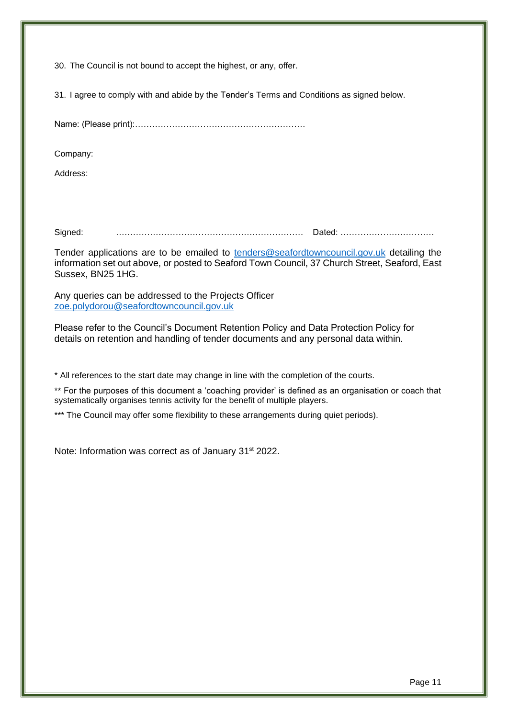30. The Council is not bound to accept the highest, or any, offer.

31. I agree to comply with and abide by the Tender's Terms and Conditions as signed below.

Name: (Please print):……………………………………………………

Company:

Address:

Signed: ………………………………………………………… Dated: ……………………………

Tender applications are to be emailed to [tenders@seafordtowncouncil.gov.uk](mailto:tenders@seafordtowncouncil.gov.uk) detailing the information set out above, or posted to Seaford Town Council, 37 Church Street, Seaford, East Sussex, BN25 1HG.

Any queries can be addressed to the Projects Officer [zoe.polydorou@seafordtowncouncil.gov.uk](mailto:zoe.polydorou@seafordtowncouncil.gov.uk)

Please refer to the Council's Document Retention Policy and Data Protection Policy for details on retention and handling of tender documents and any personal data within.

\* All references to the start date may change in line with the completion of the courts.

\*\* For the purposes of this document a 'coaching provider' is defined as an organisation or coach that systematically organises tennis activity for the benefit of multiple players.

\*\*\* The Council may offer some flexibility to these arrangements during quiet periods).

Note: Information was correct as of January 31<sup>st</sup> 2022.